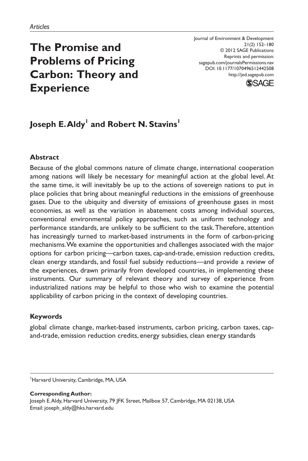# **The Promise and Problems of Pricing Carbon: Theory and Experience**

Journal of Environment & Development 21(2) 152–180 © 2012 SAGE Publications Reprints and permission: sagepub.com/journalsPermissions.nav DOI: 10.1177/1070496512442508 http://jed.sagepub.com



# Joseph E.Aldy<sup>I</sup> and Robert N. Stavins<sup>I</sup>

### **Abstract**

Because of the global commons nature of climate change, international cooperation among nations will likely be necessary for meaningful action at the global level. At the same time, it will inevitably be up to the actions of sovereign nations to put in place policies that bring about meaningful reductions in the emissions of greenhouse gases. Due to the ubiquity and diversity of emissions of greenhouse gases in most economies, as well as the variation in abatement costs among individual sources, conventional environmental policy approaches, such as uniform technology and performance standards, are unlikely to be sufficient to the task. Therefore, attention has increasingly turned to market-based instruments in the form of carbon-pricing mechanisms. We examine the opportunities and challenges associated with the major options for carbon pricing—carbon taxes, cap-and-trade, emission reduction credits, clean energy standards, and fossil fuel subsidy reductions—and provide a review of the experiences, drawn primarily from developed countries, in implementing these instruments. Our summary of relevant theory and survey of experience from industrialized nations may be helpful to those who wish to examine the potential applicability of carbon pricing in the context of developing countries.

#### **Keywords**

global climate change, market-based instruments, carbon pricing, carbon taxes, capand-trade, emission reduction credits, energy subsidies, clean energy standards

<sup>1</sup>Harvard University, Cambridge, MA, USA

**Corresponding Author:** Joseph E. Aldy, Harvard University, 79 JFK Street, Mailbox 57, Cambridge, MA 02138, USA Email: joseph\_aldy@hks.harvard.edu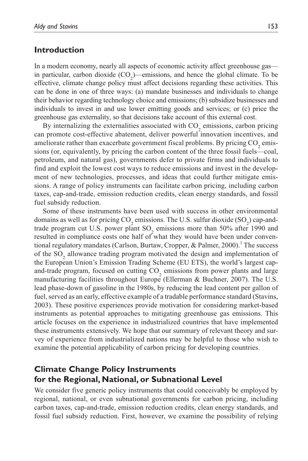## **Introduction**

In a modern economy, nearly all aspects of economic activity affect greenhouse gas in particular, carbon dioxide  $(CO_2)$ —emissions, and hence the global climate. To be effective, climate change policy must affect decisions regarding these activities. This can be done in one of three ways: (a) mandate businesses and individuals to change their behavior regarding technology choice and emissions; (b) subsidize businesses and individuals to invest in and use lower emitting goods and services; or (c) price the greenhouse gas externality, so that decisions take account of this external cost.

By internalizing the externalities associated with  $CO<sub>2</sub>$  emissions, carbon pricing can promote cost-effective abatement, deliver powerful innovation incentives, and ameliorate rather than exacerbate government fiscal problems. By pricing  $CO<sub>2</sub>$  emissions (or, equivalently, by pricing the carbon content of the three fossil fuels—coal, petroleum, and natural gas), governments defer to private firms and individuals to find and exploit the lowest cost ways to reduce emissions and invest in the development of new technologies, processes, and ideas that could further mitigate emissions. A range of policy instruments can facilitate carbon pricing, including carbon taxes, cap-and-trade, emission reduction credits, clean energy standards, and fossil fuel subsidy reduction.

Some of these instruments have been used with success in other environmental domains as well as for pricing  $CO_2$  emissions. The U.S. sulfur dioxide  $(SO_2)$  cap-andtrade program cut U.S. power plant  $SO_2$  emissions more than 50% after 1990 and resulted in compliance costs one half of what they would have been under conventional regulatory mandates (Carlson, Burtaw, Cropper, & Palmer, 2000).<sup>1</sup> The success of the  $SO_2$  allowance trading program motivated the design and implementation of the European Union's Emission Trading Scheme (EU ETS), the world's largest capand-trade program, focused on cutting  $CO<sub>2</sub>$  emissions from power plants and large manufacturing facilities throughout Europe (Ellerman & Buchner, 2007). The U.S. lead phase-down of gasoline in the 1980s, by reducing the lead content per gallon of fuel, served as an early, effective example of a tradable performance standard (Stavins, 2003). These positive experiences provide motivation for considering market-based instruments as potential approaches to mitigating greenhouse gas emissions. This article focuses on the experience in industrialized countries that have implemented these instruments extensively. We hope that our summary of relevant theory and survey of experience from industrialized nations may be helpful to those who wish to examine the potential applicability of carbon pricing for developing countries.

# **Climate Change Policy Instruments for the Regional, National, or Subnational Level**

We consider five generic policy instruments that could conceivably be employed by regional, national, or even subnational governments for carbon pricing, including carbon taxes, cap-and-trade, emission reduction credits, clean energy standards, and fossil fuel subsidy reduction. First, however, we examine the possibility of relying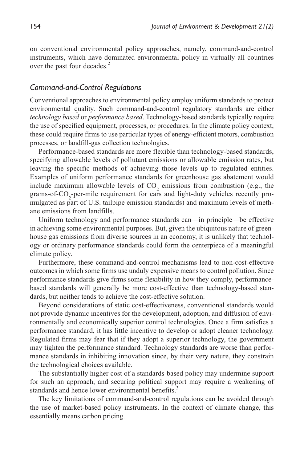on conventional environmental policy approaches, namely, command-and-control instruments, which have dominated environmental policy in virtually all countries over the past four decades.<sup>2</sup>

#### *Command-and-Control Regulations*

Conventional approaches to environmental policy employ uniform standards to protect environmental quality. Such command-and-control regulatory standards are either *technology based* or *performance based*. Technology-based standards typically require the use of specified equipment, processes, or procedures. In the climate policy context, these could require firms to use particular types of energy-efficient motors, combustion processes, or landfill-gas collection technologies.

Performance-based standards are more flexible than technology-based standards, specifying allowable levels of pollutant emissions or allowable emission rates, but leaving the specific methods of achieving those levels up to regulated entities. Examples of uniform performance standards for greenhouse gas abatement would include maximum allowable levels of  $CO_2$  emissions from combustion (e.g., the grams-of- $CO_2$ -per-mile requirement for cars and light-duty vehicles recently promulgated as part of U.S. tailpipe emission standards) and maximum levels of methane emissions from landfills.

Uniform technology and performance standards can—in principle—be effective in achieving some environmental purposes. But, given the ubiquitous nature of greenhouse gas emissions from diverse sources in an economy, it is unlikely that technology or ordinary performance standards could form the centerpiece of a meaningful climate policy.

Furthermore, these command-and-control mechanisms lead to non-cost-effective outcomes in which some firms use unduly expensive means to control pollution. Since performance standards give firms some flexibility in how they comply, performancebased standards will generally be more cost-effective than technology-based standards, but neither tends to achieve the cost-effective solution.

Beyond considerations of static cost-effectiveness, conventional standards would not provide dynamic incentives for the development, adoption, and diffusion of environmentally and economically superior control technologies. Once a firm satisfies a performance standard, it has little incentive to develop or adopt cleaner technology. Regulated firms may fear that if they adopt a superior technology, the government may tighten the performance standard. Technology standards are worse than performance standards in inhibiting innovation since, by their very nature, they constrain the technological choices available.

The substantially higher cost of a standards-based policy may undermine support for such an approach, and securing political support may require a weakening of standards and hence lower environmental benefits.<sup>3</sup>

The key limitations of command-and-control regulations can be avoided through the use of market-based policy instruments. In the context of climate change, this essentially means carbon pricing.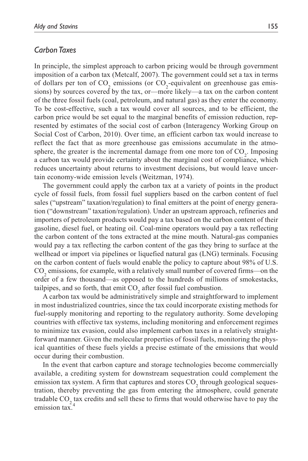#### *Carbon Taxes*

In principle, the simplest approach to carbon pricing would be through government imposition of a carbon tax (Metcalf, 2007). The government could set a tax in terms of dollars per ton of  $CO_2$  emissions (or  $CO_2$ -equivalent on greenhouse gas emissions) by sources covered by the tax, or—more likely—a tax on the carbon content of the three fossil fuels (coal, petroleum, and natural gas) as they enter the economy. To be cost-effective, such a tax would cover all sources, and to be efficient, the carbon price would be set equal to the marginal benefits of emission reduction, represented by estimates of the social cost of carbon (Interagency Working Group on Social Cost of Carbon, 2010). Over time, an efficient carbon tax would increase to reflect the fact that as more greenhouse gas emissions accumulate in the atmosphere, the greater is the incremental damage from one more ton of  $CO<sub>2</sub>$ . Imposing a carbon tax would provide certainty about the marginal cost of compliance, which reduces uncertainty about returns to investment decisions, but would leave uncertain economy-wide emission levels (Weitzman, 1974).

The government could apply the carbon tax at a variety of points in the product cycle of fossil fuels, from fossil fuel suppliers based on the carbon content of fuel sales ("upstream" taxation/regulation) to final emitters at the point of energy generation ("downstream" taxation/regulation). Under an upstream approach, refineries and importers of petroleum products would pay a tax based on the carbon content of their gasoline, diesel fuel, or heating oil. Coal-mine operators would pay a tax reflecting the carbon content of the tons extracted at the mine mouth. Natural-gas companies would pay a tax reflecting the carbon content of the gas they bring to surface at the wellhead or import via pipelines or liquefied natural gas (LNG) terminals. Focusing on the carbon content of fuels would enable the policy to capture about 98% of U.S.  $CO<sub>2</sub>$  emissions, for example, with a relatively small number of covered firms—on the order of a few thousand—as opposed to the hundreds of millions of smokestacks, tailpipes, and so forth, that emit  $CO_2$  after fossil fuel combustion.

A carbon tax would be administratively simple and straightforward to implement in most industrialized countries, since the tax could incorporate existing methods for fuel-supply monitoring and reporting to the regulatory authority. Some developing countries with effective tax systems, including monitoring and enforcement regimes to minimize tax evasion, could also implement carbon taxes in a relatively straightforward manner. Given the molecular properties of fossil fuels, monitoring the physical quantities of these fuels yields a precise estimate of the emissions that would occur during their combustion.

In the event that carbon capture and storage technologies become commercially available, a crediting system for downstream sequestration could complement the emission tax system. A firm that captures and stores  $CO_2$  through geological sequestration, thereby preventing the gas from entering the atmosphere, could generate tradable  $\text{CO}_2$  tax credits and sell these to firms that would otherwise have to pay the emission tax<sup>4</sup>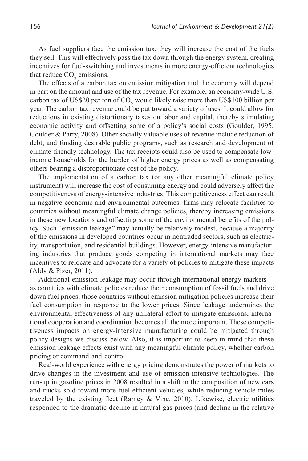As fuel suppliers face the emission tax, they will increase the cost of the fuels they sell. This will effectively pass the tax down through the energy system, creating incentives for fuel-switching and investments in more energy-efficient technologies that reduce  $CO<sub>2</sub>$  emissions.

The effects of a carbon tax on emission mitigation and the economy will depend in part on the amount and use of the tax revenue. For example, an economy-wide U.S. carbon tax of US\$20 per ton of  $CO_2$  would likely raise more than US\$100 billion per year. The carbon tax revenue could be put toward a variety of uses. It could allow for reductions in existing distortionary taxes on labor and capital, thereby stimulating economic activity and offsetting some of a policy's social costs (Goulder, 1995; Goulder & Parry, 2008). Other socially valuable uses of revenue include reduction of debt, and funding desirable public programs, such as research and development of climate-friendly technology. The tax receipts could also be used to compensate lowincome households for the burden of higher energy prices as well as compensating others bearing a disproportionate cost of the policy.

The implementation of a carbon tax (or any other meaningful climate policy instrument) will increase the cost of consuming energy and could adversely affect the competitiveness of energy-intensive industries. This competitiveness effect can result in negative economic and environmental outcomes: firms may relocate facilities to countries without meaningful climate change policies, thereby increasing emissions in these new locations and offsetting some of the environmental benefits of the policy. Such "emission leakage" may actually be relatively modest, because a majority of the emissions in developed countries occur in nontraded sectors, such as electricity, transportation, and residential buildings. However, energy-intensive manufacturing industries that produce goods competing in international markets may face incentives to relocate and advocate for a variety of policies to mitigate these impacts (Aldy & Pizer, 2011).

Additional emission leakage may occur through international energy markets as countries with climate policies reduce their consumption of fossil fuels and drive down fuel prices, those countries without emission mitigation policies increase their fuel consumption in response to the lower prices. Since leakage undermines the environmental effectiveness of any unilateral effort to mitigate emissions, international cooperation and coordination becomes all the more important. These competitiveness impacts on energy-intensive manufacturing could be mitigated through policy designs we discuss below. Also, it is important to keep in mind that these emission leakage effects exist with any meaningful climate policy, whether carbon pricing or command-and-control.

Real-world experience with energy pricing demonstrates the power of markets to drive changes in the investment and use of emission-intensive technologies. The run-up in gasoline prices in 2008 resulted in a shift in the composition of new cars and trucks sold toward more fuel-efficient vehicles, while reducing vehicle miles traveled by the existing fleet (Ramey & Vine, 2010). Likewise, electric utilities responded to the dramatic decline in natural gas prices (and decline in the relative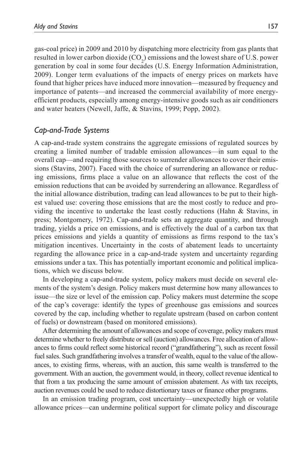gas-coal price) in 2009 and 2010 by dispatching more electricity from gas plants that resulted in lower carbon dioxide  $(CO_2)$  emissions and the lowest share of U.S. power generation by coal in some four decades (U.S. Energy Information Administration, 2009). Longer term evaluations of the impacts of energy prices on markets have found that higher prices have induced more innovation—measured by frequency and importance of patents—and increased the commercial availability of more energyefficient products, especially among energy-intensive goods such as air conditioners and water heaters (Newell, Jaffe, & Stavins, 1999; Popp, 2002).

## *Cap-and-Trade Systems*

A cap-and-trade system constrains the aggregate emissions of regulated sources by creating a limited number of tradable emission allowances—in sum equal to the overall cap—and requiring those sources to surrender allowances to cover their emissions (Stavins, 2007). Faced with the choice of surrendering an allowance or reducing emissions, firms place a value on an allowance that reflects the cost of the emission reductions that can be avoided by surrendering an allowance. Regardless of the initial allowance distribution, trading can lead allowances to be put to their highest valued use: covering those emissions that are the most costly to reduce and providing the incentive to undertake the least costly reductions (Hahn & Stavins, in press; Montgomery, 1972). Cap-and-trade sets an aggregate quantity, and through trading, yields a price on emissions, and is effectively the dual of a carbon tax that prices emissions and yields a quantity of emissions as firms respond to the tax's mitigation incentives. Uncertainty in the costs of abatement leads to uncertainty regarding the allowance price in a cap-and-trade system and uncertainty regarding emissions under a tax. This has potentially important economic and political implications, which we discuss below.

In developing a cap-and-trade system, policy makers must decide on several elements of the system's design. Policy makers must determine how many allowances to issue—the size or level of the emission cap. Policy makers must determine the scope of the cap's coverage: identify the types of greenhouse gas emissions and sources covered by the cap, including whether to regulate upstream (based on carbon content of fuels) or downstream (based on monitored emissions).

After determining the amount of allowances and scope of coverage, policy makers must determine whether to freely distribute or sell (auction) allowances. Free allocation of allowances to firms could reflect some historical record ("grandfathering"), such as recent fossil fuel sales. Such grandfathering involves a transfer of wealth, equal to the value of the allowances, to existing firms, whereas, with an auction, this same wealth is transferred to the government. With an auction, the government would, in theory, collect revenue identical to that from a tax producing the same amount of emission abatement. As with tax receipts, auction revenues could be used to reduce distortionary taxes or finance other programs.

In an emission trading program, cost uncertainty—unexpectedly high or volatile allowance prices—can undermine political support for climate policy and discourage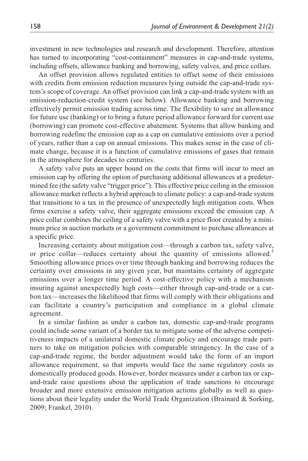investment in new technologies and research and development. Therefore, attention has turned to incorporating "cost-containment" measures in cap-and-trade systems, including offsets, allowance banking and borrowing, safety valves, and price collars.

An offset provision allows regulated entities to offset some of their emissions with credits from emission reduction measures lying outside the cap-and-trade system's scope of coverage. An offset provision can link a cap-and-trade system with an emission-reduction-credit system (see below). Allowance banking and borrowing effectively permit emission trading across time. The flexibility to save an allowance for future use (banking) or to bring a future period allowance forward for current use (borrowing) can promote cost-effective abatement. Systems that allow banking and borrowing redefine the emission cap as a cap on cumulative emissions over a period of years, rather than a cap on annual emissions. This makes sense in the case of climate change, because it is a function of cumulative emissions of gases that remain in the atmosphere for decades to centuries.

A safety valve puts an upper bound on the costs that firms will incur to meet an emission cap by offering the option of purchasing additional allowances at a predetermined fee (the safety valve "trigger price"). This effective price ceiling in the emission allowance market reflects a hybrid approach to climate policy: a cap-and-trade system that transitions to a tax in the presence of unexpectedly high mitigation costs. When firms exercise a safety valve, their aggregate emissions exceed the emission cap. A price collar combines the ceiling of a safety valve with a price floor created by a minimum price in auction markets or a government commitment to purchase allowances at a specific price.

Increasing certainty about mitigation cost—through a carbon tax, safety valve, or price collar—reduces certainty about the quantity of emissions allowed.<sup>5</sup> Smoothing allowance prices over time through banking and borrowing reduces the certainty over emissions in any given year, but maintains certainty of aggregate emissions over a longer time period. A cost-effective policy with a mechanism insuring against unexpectedly high costs—either through cap-and-trade or a carbon tax—increases the likelihood that firms will comply with their obligations and can facilitate a country's participation and compliance in a global climate agreement.

In a similar fashion as under a carbon tax, domestic cap-and-trade programs could include some variant of a border tax to mitigate some of the adverse competitiveness impacts of a unilateral domestic climate policy and encourage trade partners to take on mitigation policies with comparable stringency. In the case of a cap-and-trade regime, the border adjustment would take the form of an import allowance requirement, so that imports would face the same regulatory costs as domestically produced goods. However, border measures under a carbon tax or capand-trade raise questions about the application of trade sanctions to encourage broader and more extensive emission mitigation actions globally as well as questions about their legality under the World Trade Organization (Brainard & Sorking, 2009; Frankel, 2010).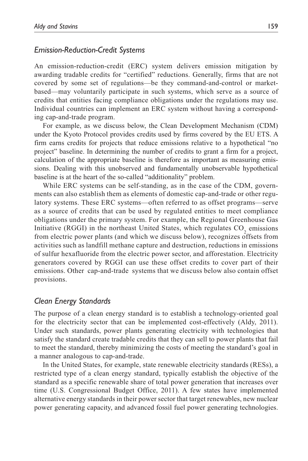#### *Emission-Reduction-Credit Systems*

An emission-reduction-credit (ERC) system delivers emission mitigation by awarding tradable credits for "certified" reductions. Generally, firms that are not covered by some set of regulations—be they command-and-control or marketbased—may voluntarily participate in such systems, which serve as a source of credits that entities facing compliance obligations under the regulations may use. Individual countries can implement an ERC system without having a corresponding cap-and-trade program.

For example, as we discuss below, the Clean Development Mechanism (CDM) under the Kyoto Protocol provides credits used by firms covered by the EU ETS. A firm earns credits for projects that reduce emissions relative to a hypothetical "no project" baseline. In determining the number of credits to grant a firm for a project, calculation of the appropriate baseline is therefore as important as measuring emissions. Dealing with this unobserved and fundamentally unobservable hypothetical baseline is at the heart of the so-called "additionality" problem.

While ERC systems can be self-standing, as in the case of the CDM, governments can also establish them as elements of domestic cap-and-trade or other regulatory systems. These ERC systems—often referred to as offset programs—serve as a source of credits that can be used by regulated entities to meet compliance obligations under the primary system. For example, the Regional Greenhouse Gas Initiative (RGGI) in the northeast United States, which regulates  $CO<sub>2</sub>$  emissions from electric power plants (and which we discuss below), recognizes offsets from activities such as landfill methane capture and destruction, reductions in emissions of sulfur hexafluoride from the electric power sector, and afforestation. Electricity generators covered by RGGI can use these offset credits to cover part of their emissions. Other cap-and-trade systems that we discuss below also contain offset provisions.

#### *Clean Energy Standards*

The purpose of a clean energy standard is to establish a technology-oriented goal for the electricity sector that can be implemented cost-effectively (Aldy, 2011). Under such standards, power plants generating electricity with technologies that satisfy the standard create tradable credits that they can sell to power plants that fail to meet the standard, thereby minimizing the costs of meeting the standard's goal in a manner analogous to cap-and-trade.

In the United States, for example, state renewable electricity standards (RESs), a restricted type of a clean energy standard, typically establish the objective of the standard as a specific renewable share of total power generation that increases over time (U.S. Congressional Budget Office, 2011). A few states have implemented alternative energy standards in their power sector that target renewables, new nuclear power generating capacity, and advanced fossil fuel power generating technologies.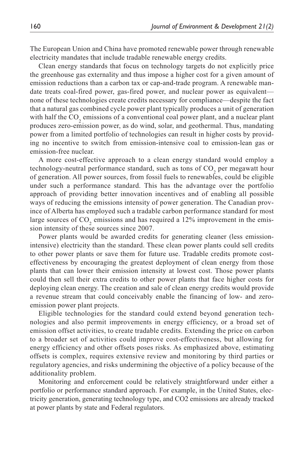The European Union and China have promoted renewable power through renewable electricity mandates that include tradable renewable energy credits.

Clean energy standards that focus on technology targets do not explicitly price the greenhouse gas externality and thus impose a higher cost for a given amount of emission reductions than a carbon tax or cap-and-trade program. A renewable mandate treats coal-fired power, gas-fired power, and nuclear power as equivalent none of these technologies create credits necessary for compliance—despite the fact that a natural gas combined cycle power plant typically produces a unit of generation with half the  $CO_2$  emissions of a conventional coal power plant, and a nuclear plant produces zero-emission power, as do wind, solar, and geothermal. Thus, mandating power from a limited portfolio of technologies can result in higher costs by providing no incentive to switch from emission-intensive coal to emission-lean gas or emission-free nuclear.

A more cost-effective approach to a clean energy standard would employ a technology-neutral performance standard, such as tons of  $CO<sub>2</sub>$  per megawatt hour of generation. All power sources, from fossil fuels to renewables, could be eligible under such a performance standard. This has the advantage over the portfolio approach of providing better innovation incentives and of enabling all possible ways of reducing the emissions intensity of power generation. The Canadian province of Alberta has employed such a tradable carbon performance standard for most large sources of  $CO<sub>2</sub>$  emissions and has required a 12% improvement in the emission intensity of these sources since 2007.

Power plants would be awarded credits for generating cleaner (less emissionintensive) electricity than the standard. These clean power plants could sell credits to other power plants or save them for future use. Tradable credits promote costeffectiveness by encouraging the greatest deployment of clean energy from those plants that can lower their emission intensity at lowest cost. Those power plants could then sell their extra credits to other power plants that face higher costs for deploying clean energy. The creation and sale of clean energy credits would provide a revenue stream that could conceivably enable the financing of low- and zeroemission power plant projects.

Eligible technologies for the standard could extend beyond generation technologies and also permit improvements in energy efficiency, or a broad set of emission offset activities, to create tradable credits. Extending the price on carbon to a broader set of activities could improve cost-effectiveness, but allowing for energy efficiency and other offsets poses risks. As emphasized above, estimating offsets is complex, requires extensive review and monitoring by third parties or regulatory agencies, and risks undermining the objective of a policy because of the additionality problem.

Monitoring and enforcement could be relatively straightforward under either a portfolio or performance standard approach. For example, in the United States, electricity generation, generating technology type, and CO2 emissions are already tracked at power plants by state and Federal regulators.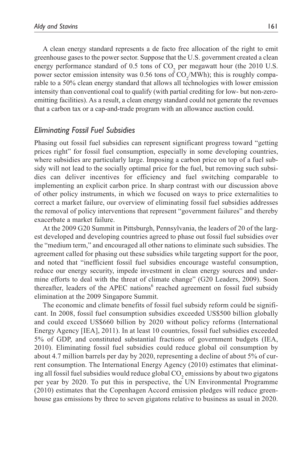A clean energy standard represents a de facto free allocation of the right to emit greenhouse gases to the power sector. Suppose that the U.S. government created a clean energy performance standard of 0.5 tons of  $CO_2$  per megawatt hour (the 2010 U.S. power sector emission intensity was 0.56 tons of  $CO_2/MWh$ ); this is roughly comparable to a 50% clean energy standard that allows all technologies with lower emission intensity than conventional coal to qualify (with partial crediting for low- but non-zeroemitting facilities). As a result, a clean energy standard could not generate the revenues that a carbon tax or a cap-and-trade program with an allowance auction could.

#### *Eliminating Fossil Fuel Subsidies*

Phasing out fossil fuel subsidies can represent significant progress toward "getting prices right" for fossil fuel consumption, especially in some developing countries, where subsidies are particularly large. Imposing a carbon price on top of a fuel subsidy will not lead to the socially optimal price for the fuel, but removing such subsidies can deliver incentives for efficiency and fuel switching comparable to implementing an explicit carbon price. In sharp contrast with our discussion above of other policy instruments, in which we focused on ways to price externalities to correct a market failure, our overview of eliminating fossil fuel subsidies addresses the removal of policy interventions that represent "government failures" and thereby exacerbate a market failure.

At the 2009 G20 Summit in Pittsburgh, Pennsylvania, the leaders of 20 of the largest developed and developing countries agreed to phase out fossil fuel subsidies over the "medium term," and encouraged all other nations to eliminate such subsidies. The agreement called for phasing out these subsidies while targeting support for the poor, and noted that "inefficient fossil fuel subsidies encourage wasteful consumption, reduce our energy security, impede investment in clean energy sources and undermine efforts to deal with the threat of climate change" (G20 Leaders, 2009). Soon thereafter, leaders of the APEC nations<sup>6</sup> reached agreement on fossil fuel subsidy elimination at the 2009 Singapore Summit.

The economic and climate benefits of fossil fuel subsidy reform could be significant. In 2008, fossil fuel consumption subsidies exceeded US\$500 billion globally and could exceed US\$660 billion by 2020 without policy reforms (International Energy Agency [IEA], 2011). In at least 10 countries, fossil fuel subsidies exceeded 5% of GDP, and constituted substantial fractions of government budgets (IEA, 2010). Eliminating fossil fuel subsidies could reduce global oil consumption by about 4.7 million barrels per day by 2020, representing a decline of about 5% of current consumption. The International Energy Agency (2010) estimates that eliminating all fossil fuel subsidies would reduce global  $CO<sub>2</sub>$  emissions by about two gigatons per year by 2020. To put this in perspective, the UN Environmental Programme (2010) estimates that the Copenhagen Accord emission pledges will reduce greenhouse gas emissions by three to seven gigatons relative to business as usual in 2020.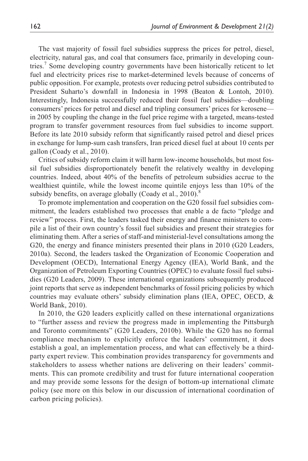The vast majority of fossil fuel subsidies suppress the prices for petrol, diesel, electricity, natural gas, and coal that consumers face, primarily in developing countries.<sup>7</sup> Some developing country governments have been historically reticent to let fuel and electricity prices rise to market-determined levels because of concerns of public opposition. For example, protests over reducing petrol subsidies contributed to President Suharto's downfall in Indonesia in 1998 (Beaton & Lontoh, 2010). Interestingly, Indonesia successfully reduced their fossil fuel subsidies—doubling consumers' prices for petrol and diesel and tripling consumers' prices for kerosene in 2005 by coupling the change in the fuel price regime with a targeted, means-tested program to transfer government resources from fuel subsidies to income support. Before its late 2010 subsidy reform that significantly raised petrol and diesel prices in exchange for lump-sum cash transfers, Iran priced diesel fuel at about 10 cents per gallon (Coady et al., 2010).

Critics of subsidy reform claim it will harm low-income households, but most fossil fuel subsidies disproportionately benefit the relatively wealthy in developing countries. Indeed, about 40% of the benefits of petroleum subsidies accrue to the wealthiest quintile, while the lowest income quintile enjoys less than 10% of the subsidy benefits, on average globally (Coady et al., 2010). $^8$ 

To promote implementation and cooperation on the G20 fossil fuel subsidies commitment, the leaders established two processes that enable a de facto "pledge and review" process. First, the leaders tasked their energy and finance ministers to compile a list of their own country's fossil fuel subsidies and present their strategies for eliminating them. After a series of staff-and ministerial-level consultations among the G20, the energy and finance ministers presented their plans in 2010 (G20 Leaders, 2010a). Second, the leaders tasked the Organization of Economic Cooperation and Development (OECD), International Energy Agency (IEA), World Bank, and the Organization of Petroleum Exporting Countries (OPEC) to evaluate fossil fuel subsidies (G20 Leaders, 2009). These international organizations subsequently produced joint reports that serve as independent benchmarks of fossil pricing policies by which countries may evaluate others' subsidy elimination plans (IEA, OPEC, OECD, & World Bank, 2010).

In 2010, the G20 leaders explicitly called on these international organizations to "further assess and review the progress made in implementing the Pittsburgh and Toronto commitments" (G20 Leaders, 2010b). While the G20 has no formal compliance mechanism to explicitly enforce the leaders' commitment, it does establish a goal, an implementation process, and what can effectively be a thirdparty expert review. This combination provides transparency for governments and stakeholders to assess whether nations are delivering on their leaders' commitments. This can promote credibility and trust for future international cooperation and may provide some lessons for the design of bottom-up international climate policy (see more on this below in our discussion of international coordination of carbon pricing policies).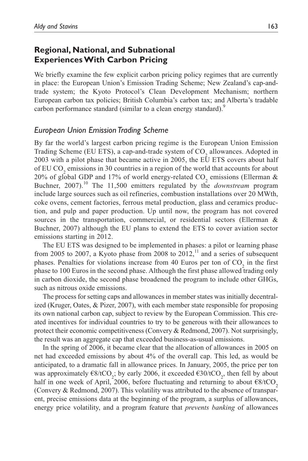## **Regional, National, and Subnational Experiences With Carbon Pricing**

We briefly examine the few explicit carbon pricing policy regimes that are currently in place: the European Union's Emission Trading Scheme; New Zealand's cap-andtrade system; the Kyoto Protocol's Clean Development Mechanism; northern European carbon tax policies; British Columbia's carbon tax; and Alberta's tradable carbon performance standard (similar to a clean energy standard).<sup>9</sup>

#### *European Union Emission Trading Scheme*

By far the world's largest carbon pricing regime is the European Union Emission Trading Scheme (EU ETS), a cap-and-trade system of  $CO<sub>2</sub>$  allowances. Adopted in 2003 with a pilot phase that became active in 2005, the EU ETS covers about half of EU CO<sub>2</sub> emissions in 30 countries in a region of the world that accounts for about 20% of global GDP and 17% of world energy-related  $CO<sub>2</sub>$  emissions (Ellerman & Buchner, 2007).<sup>10</sup> The 11,500 emitters regulated by the *downstream* program include large sources such as oil refineries, combustion installations over 20 MWth, coke ovens, cement factories, ferrous metal production, glass and ceramics production, and pulp and paper production. Up until now, the program has not covered sources in the transportation, commercial, or residential sectors (Ellerman & Buchner, 2007) although the EU plans to extend the ETS to cover aviation sector emissions starting in 2012.

The EU ETS was designed to be implemented in phases: a pilot or learning phase from 2005 to 2007, a Kyoto phase from 2008 to  $2012$ ,<sup>11</sup> and a series of subsequent phases. Penalties for violations increase from 40 Euros per ton of  $CO<sub>2</sub>$  in the first phase to 100 Euros in the second phase. Although the first phase allowed trading only in carbon dioxide, the second phase broadened the program to include other GHGs, such as nitrous oxide emissions.

The process for setting caps and allowances in member states was initially decentralized (Kruger, Oates, & Pizer, 2007), with each member state responsible for proposing its own national carbon cap, subject to review by the European Commission. This created incentives for individual countries to try to be generous with their allowances to protect their economic competitiveness (Convery & Redmond, 2007). Not surprisingly, the result was an aggregate cap that exceeded business-as-usual emissions.

In the spring of 2006, it became clear that the allocation of allowances in 2005 on net had exceeded emissions by about 4% of the overall cap. This led, as would be anticipated, to a dramatic fall in allowance prices. In January, 2005, the price per ton was approximately  $\epsilon$ 8/tCO<sub>2</sub>; by early 2006, it exceeded  $\epsilon$ 30/tCO<sub>2</sub>, then fell by about half in one week of April, 2006, before fluctuating and returning to about  $\epsilon$ 8/tCO<sub>2</sub> (Convery & Redmond, 2007). This volatility was attributed to the absence of transparent, precise emissions data at the beginning of the program, a surplus of allowances, energy price volatility, and a program feature that *prevents banking* of allowances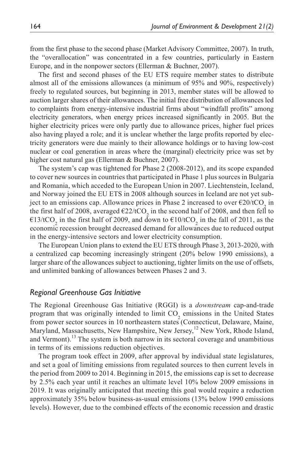from the first phase to the second phase (Market Advisory Committee, 2007). In truth, the "overallocation" was concentrated in a few countries, particularly in Eastern Europe, and in the nonpower sectors (Ellerman & Buchner, 2007).

The first and second phases of the EU ETS require member states to distribute almost all of the emissions allowances (a minimum of 95% and 90%, respectively) freely to regulated sources, but beginning in 2013, member states will be allowed to auction larger shares of their allowances. The initial free distribution of allowances led to complaints from energy-intensive industrial firms about "windfall profits" among electricity generators, when energy prices increased significantly in 2005. But the higher electricity prices were only partly due to allowance prices, higher fuel prices also having played a role; and it is unclear whether the large profits reported by electricity generators were due mainly to their allowance holdings or to having low-cost nuclear or coal generation in areas where the (marginal) electricity price was set by higher cost natural gas (Ellerman & Buchner, 2007).

The system's cap was tightened for Phase 2 (2008-2012), and its scope expanded to cover new sources in countries that participated in Phase 1 plus sources in Bulgaria and Romania, which acceded to the European Union in 2007. Liechtenstein, Iceland, and Norway joined the EU ETS in 2008 although sources in Iceland are not yet subject to an emissions cap. Allowance prices in Phase 2 increased to over  $\epsilon$ 20/tCO<sub>2</sub> in the first half of 2008, averaged  $\epsilon$ 22/tCO<sub>2</sub> in the second half of 2008, and then fell to €13/tCO<sub>2</sub> in the first half of 2009, and down to €10/tCO<sub>2</sub> in the fall of 2011, as the economic recession brought decreased demand for allowances due to reduced output in the energy-intensive sectors and lower electricity consumption.

The European Union plans to extend the EU ETS through Phase 3, 2013-2020, with a centralized cap becoming increasingly stringent (20% below 1990 emissions), a larger share of the allowances subject to auctioning, tighter limits on the use of offsets, and unlimited banking of allowances between Phases 2 and 3.

#### *Regional Greenhouse Gas Initiative*

The Regional Greenhouse Gas Initiative (RGGI) is a *downstream* cap-and-trade program that was originally intended to limit  $CO<sub>2</sub>$  emissions in the United States from power sector sources in 10 northeastern states (Connecticut, Delaware, Maine, Maryland, Massachusetts, New Hampshire, New Jersey,<sup>12</sup> New York, Rhode Island, and Vermont).<sup>13</sup> The system is both narrow in its sectoral coverage and unambitious in terms of its emissions reduction objectives.

The program took effect in 2009, after approval by individual state legislatures, and set a goal of limiting emissions from regulated sources to then current levels in the period from 2009 to 2014. Beginning in 2015, the emissions cap is set to decrease by 2.5% each year until it reaches an ultimate level 10% below 2009 emissions in 2019. It was originally anticipated that meeting this goal would require a reduction approximately 35% below business-as-usual emissions (13% below 1990 emissions levels). However, due to the combined effects of the economic recession and drastic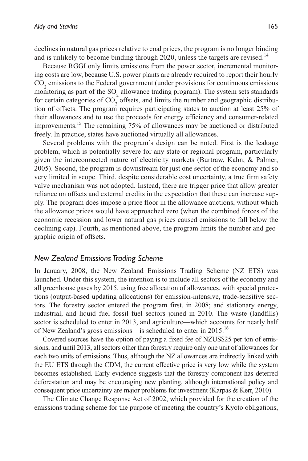declines in natural gas prices relative to coal prices, the program is no longer binding and is unlikely to become binding through 2020, unless the targets are revised.<sup>14</sup>

Because RGGI only limits emissions from the power sector, incremental monitoring costs are low, because U.S. power plants are already required to report their hourly  $CO<sub>2</sub>$  emissions to the Federal government (under provisions for continuous emissions monitoring as part of the  $SO_2$  allowance trading program). The system sets standards for certain categories of  $CO_2^-$  offsets, and limits the number and geographic distribution of offsets. The program requires participating states to auction at least 25% of their allowances and to use the proceeds for energy efficiency and consumer-related improvements.<sup>15</sup> The remaining 75% of allowances may be auctioned or distributed freely. In practice, states have auctioned virtually all allowances.

Several problems with the program's design can be noted. First is the leakage problem, which is potentially severe for any state or regional program, particularly given the interconnected nature of electricity markets (Burtraw, Kahn, & Palmer, 2005). Second, the program is downstream for just one sector of the economy and so very limited in scope. Third, despite considerable cost uncertainty, a true firm safety valve mechanism was not adopted. Instead, there are trigger price that allow greater reliance on offsets and external credits in the expectation that these can increase supply. The program does impose a price floor in the allowance auctions, without which the allowance prices would have approached zero (when the combined forces of the economic recession and lower natural gas prices caused emissions to fall below the declining cap). Fourth, as mentioned above, the program limits the number and geographic origin of offsets.

#### *New Zealand Emissions Trading Scheme*

In January, 2008, the New Zealand Emissions Trading Scheme (NZ ETS) was launched. Under this system, the intention is to include all sectors of the economy and all greenhouse gases by 2015, using free allocation of allowances, with special protections (output-based updating allocations) for emission-intensive, trade-sensitive sectors. The forestry sector entered the program first, in 2008; and stationary energy, industrial, and liquid fuel fossil fuel sectors joined in 2010. The waste (landfills) sector is scheduled to enter in 2013, and agriculture—which accounts for nearly half of New Zealand's gross emissions—is scheduled to enter in 2015.16

Covered sources have the option of paying a fixed fee of NZUS\$25 per ton of emissions, and until 2013, all sectors other than forestry require only one unit of allowances for each two units of emissions. Thus, although the NZ allowances are indirectly linked with the EU ETS through the CDM, the current effective price is very low while the system becomes established. Early evidence suggests that the forestry component has deterred deforestation and may be encouraging new planting, although international policy and consequent price uncertainty are major problems for investment (Karpas & Kerr, 2010).

The Climate Change Response Act of 2002, which provided for the creation of the emissions trading scheme for the purpose of meeting the country's Kyoto obligations,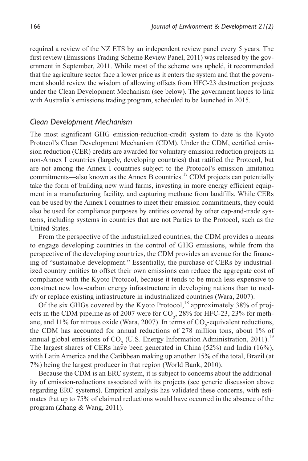required a review of the NZ ETS by an independent review panel every 5 years. The first review (Emissions Trading Scheme Review Panel, 2011) was released by the government in September, 2011. While most of the scheme was upheld, it recommended that the agriculture sector face a lower price as it enters the system and that the government should review the wisdom of allowing offsets from HFC-23 destruction projects under the Clean Development Mechanism (see below). The government hopes to link with Australia's emissions trading program, scheduled to be launched in 2015.

#### *Clean Development Mechanism*

The most significant GHG emission-reduction-credit system to date is the Kyoto Protocol's Clean Development Mechanism (CDM). Under the CDM, certified emission reduction (CER) credits are awarded for voluntary emission reduction projects in non-Annex I countries (largely, developing countries) that ratified the Protocol, but are not among the Annex I countries subject to the Protocol's emission limitation commitments—also known as the Annex B countries.<sup>17</sup> CDM projects can potentially take the form of building new wind farms, investing in more energy efficient equipment in a manufacturing facility, and capturing methane from landfills. While CERs can be used by the Annex I countries to meet their emission commitments, they could also be used for compliance purposes by entities covered by other cap-and-trade systems, including systems in countries that are not Parties to the Protocol, such as the United States.

From the perspective of the industrialized countries, the CDM provides a means to engage developing countries in the control of GHG emissions, while from the perspective of the developing countries, the CDM provides an avenue for the financing of "sustainable development." Essentially, the purchase of CERs by industrialized country entities to offset their own emissions can reduce the aggregate cost of compliance with the Kyoto Protocol, because it tends to be much less expensive to construct new low-carbon energy infrastructure in developing nations than to modify or replace existing infrastructure in industrialized countries (Wara, 2007).

Of the six GHGs covered by the Kyoto Protocol,<sup>18</sup> approximately 38% of projects in the CDM pipeline as of 2007 were for  $CO_2$ , 28% for HFC-23, 23% for methane, and  $11\%$  for nitrous oxide (Wara, 2007). In terms of CO<sub>2</sub>-equivalent reductions, the CDM has accounted for annual reductions of 278 million tons, about 1% of annual global emissions of CO<sub>2</sub> (U.S. Energy Information Administration, 2011).<sup>19</sup> The largest shares of CERs have been generated in China (52%) and India (16%), with Latin America and the Caribbean making up another 15% of the total, Brazil (at 7%) being the largest producer in that region (World Bank, 2010).

Because the CDM is an ERC system, it is subject to concerns about the additionality of emission-reductions associated with its projects (see generic discussion above regarding ERC systems). Empirical analysis has validated these concerns, with estimates that up to 75% of claimed reductions would have occurred in the absence of the program (Zhang & Wang, 2011).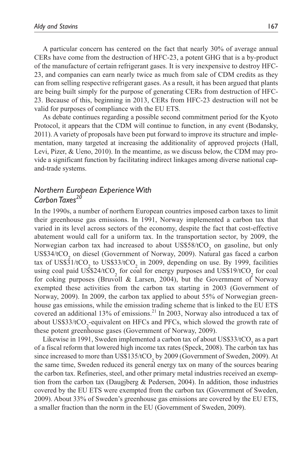A particular concern has centered on the fact that nearly 30% of average annual CERs have come from the destruction of HFC-23, a potent GHG that is a by-product of the manufacture of certain refrigerant gases. It is very inexpensive to destroy HFC-23, and companies can earn nearly twice as much from sale of CDM credits as they can from selling respective refrigerant gases. As a result, it has been argued that plants are being built simply for the purpose of generating CERs from destruction of HFC-23. Because of this, beginning in 2013, CERs from HFC-23 destruction will not be valid for purposes of compliance with the EU ETS.

As debate continues regarding a possible second commitment period for the Kyoto Protocol, it appears that the CDM will continue to function, in any event (Bodansky, 2011). A variety of proposals have been put forward to improve its structure and implementation, many targeted at increasing the additionality of approved projects (Hall, Levi, Pizer, & Ueno, 2010). In the meantime, as we discuss below, the CDM may provide a significant function by facilitating indirect linkages among diverse national capand-trade systems.

## *Northern European Experience With Carbon Taxes20*

In the 1990s, a number of northern European countries imposed carbon taxes to limit their greenhouse gas emissions. In 1991, Norway implemented a carbon tax that varied in its level across sectors of the economy, despite the fact that cost-effective abatement would call for a uniform tax. In the transportation sector, by 2009, the Norwegian carbon tax had increased to about  $\frac{1}{2}$  US\$58/tCO<sub>2</sub> on gasoline, but only US\$34/tCO<sub>2</sub> on diesel (Government of Norway, 2009). Natural gas faced a carbon tax of US\$31/tCO<sub>2</sub> to US\$33/tCO<sub>2</sub> in 2009, depending on use. By 1999, facilities using coal paid US\$24/tCO<sub>2</sub> for coal for energy purposes and US\$19/tCO<sub>2</sub> for coal for coking purposes (Bruvoll & Larsen, 2004), but the Government of Norway exempted these activities from the carbon tax starting in 2003 (Government of Norway, 2009). In 2009, the carbon tax applied to about 55% of Norwegian greenhouse gas emissions, while the emission trading scheme that is linked to the EU ETS covered an additional 13% of emissions.<sup>21</sup> In 2003, Norway also introduced a tax of about US\$33/tCO<sub>2</sub>-equivalent on HFCs and PFCs, which slowed the growth rate of these potent greenhouse gases (Government of Norway, 2009).

Likewise in 1991, Sweden implemented a carbon tax of about US\$33/tCO<sub>2</sub> as a part of a fiscal reform that lowered high income tax rates (Speck, 2008). The carbon tax has since increased to more than  $\text{US}\$135/\text{tCO}_2$  by 2009 (Government of Sweden, 2009). At the same time, Sweden reduced its general energy tax on many of the sources bearing the carbon tax. Refineries, steel, and other primary metal industries received an exemption from the carbon tax (Daugjberg & Pedersen, 2004). In addition, those industries covered by the EU ETS were exempted from the carbon tax (Government of Sweden, 2009). About 33% of Sweden's greenhouse gas emissions are covered by the EU ETS, a smaller fraction than the norm in the EU (Government of Sweden, 2009).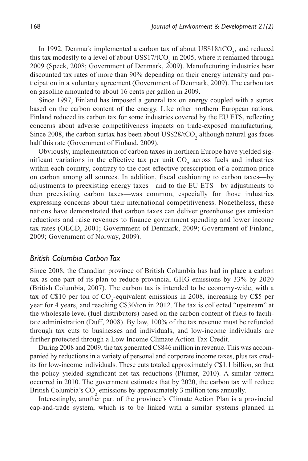In 1992, Denmark implemented a carbon tax of about US\$18/tCO<sub>2</sub>, and reduced this tax modestly to a level of about US\$17/tCO<sub>2</sub> in 2005, where it remained through 2009 (Speck, 2008; Government of Denmark, 2009). Manufacturing industries bear discounted tax rates of more than 90% depending on their energy intensity and participation in a voluntary agreement (Government of Denmark, 2009). The carbon tax on gasoline amounted to about 16 cents per gallon in 2009.

Since 1997, Finland has imposed a general tax on energy coupled with a surtax based on the carbon content of the energy. Like other northern European nations, Finland reduced its carbon tax for some industries covered by the EU ETS, reflecting concerns about adverse competitiveness impacts on trade-exposed manufacturing. Since 2008, the carbon surtax has been about US\$28/tCO<sub>2</sub> although natural gas faces half this rate (Government of Finland, 2009).

Obviously, implementation of carbon taxes in northern Europe have yielded significant variations in the effective tax per unit  $CO_2$  across fuels and industries within each country, contrary to the cost-effective prescription of a common price on carbon among all sources. In addition, fiscal cushioning to carbon taxes—by adjustments to preexisting energy taxes—and to the EU ETS—by adjustments to then preexisting carbon taxes—was common, especially for those industries expressing concerns about their international competitiveness. Nonetheless, these nations have demonstrated that carbon taxes can deliver greenhouse gas emission reductions and raise revenues to finance government spending and lower income tax rates (OECD, 2001; Government of Denmark, 2009; Government of Finland, 2009; Government of Norway, 2009).

#### *British Columbia Carbon Tax*

Since 2008, the Canadian province of British Columbia has had in place a carbon tax as one part of its plan to reduce provincial GHG emissions by 33% by 2020 (British Columbia, 2007). The carbon tax is intended to be economy-wide, with a tax of C\$10 per ton of  $CO<sub>2</sub>$ -equivalent emissions in 2008, increasing by C\$5 per year for 4 years, and reaching C\$30/ton in 2012. The tax is collected "upstream" at the wholesale level (fuel distributors) based on the carbon content of fuels to facilitate administration (Duff, 2008). By law, 100% of the tax revenue must be refunded through tax cuts to businesses and individuals, and low-income individuals are further protected through a Low Income Climate Action Tax Credit.

During 2008 and 2009, the tax generated C\$846 million in revenue. This was accompanied by reductions in a variety of personal and corporate income taxes, plus tax credits for low-income individuals. These cuts totaled approximately C\$1.1 billion, so that the policy yielded significant net tax reductions (Plumer, 2010). A similar pattern occurred in 2010. The government estimates that by 2020, the carbon tax will reduce British Columbia's  $CO<sub>2</sub>$  emissions by approximately 3 million tons annually.

Interestingly, another part of the province's Climate Action Plan is a provincial cap-and-trade system, which is to be linked with a similar systems planned in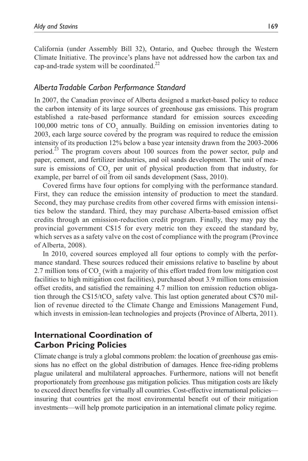California (under Assembly Bill 32), Ontario, and Quebec through the Western Climate Initiative. The province's plans have not addressed how the carbon tax and cap-and-trade system will be coordinated.<sup>22</sup>

### *Alberta Tradable Carbon Performance Standard*

In 2007, the Canadian province of Alberta designed a market-based policy to reduce the carbon intensity of its large sources of greenhouse gas emissions. This program established a rate-based performance standard for emission sources exceeding 100,000 metric tons of  $CO_2$  annually. Building on emission inventories dating to 2003, each large source covered by the program was required to reduce the emission intensity of its production 12% below a base year intensity drawn from the 2003-2006 period.<sup>23</sup> The program covers about 100 sources from the power sector, pulp and paper, cement, and fertilizer industries, and oil sands development. The unit of measure is emissions of  $CO<sub>2</sub>$  per unit of physical production from that industry, for example, per barrel of oil from oil sands development (Sass, 2010).

Covered firms have four options for complying with the performance standard. First, they can reduce the emission intensity of production to meet the standard. Second, they may purchase credits from other covered firms with emission intensities below the standard. Third, they may purchase Alberta-based emission offset credits through an emission-reduction credit program. Finally, they may pay the provincial government C\$15 for every metric ton they exceed the standard by, which serves as a safety valve on the cost of compliance with the program (Province of Alberta, 2008).

In 2010, covered sources employed all four options to comply with the performance standard. These sources reduced their emissions relative to baseline by about 2.7 million tons of  $CO_2$  (with a majority of this effort traded from low mitigation cost facilities to high mitigation cost facilities), purchased about 3.9 million tons emission offset credits, and satisfied the remaining 4.7 million ton emission reduction obligation through the C\$15/tCO<sub>2</sub> safety valve. This last option generated about C\$70 million of revenue directed to the Climate Change and Emissions Management Fund, which invests in emission-lean technologies and projects (Province of Alberta, 2011).

# **International Coordination of Carbon Pricing Policies**

Climate change is truly a global commons problem: the location of greenhouse gas emissions has no effect on the global distribution of damages. Hence free-riding problems plague unilateral and multilateral approaches. Furthermore, nations will not benefit proportionately from greenhouse gas mitigation policies. Thus mitigation costs are likely to exceed direct benefits for virtually all countries. Cost-effective international policies insuring that countries get the most environmental benefit out of their mitigation investments—will help promote participation in an international climate policy regime.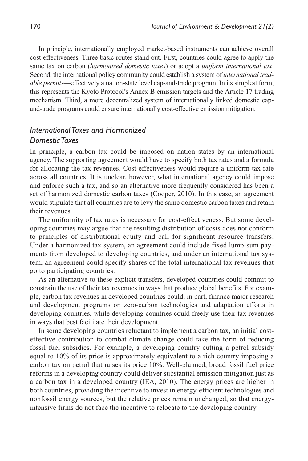In principle, internationally employed market-based instruments can achieve overall cost effectiveness. Three basic routes stand out. First, countries could agree to apply the same tax on carbon (*harmonized domestic taxes*) or adopt a *uniform international tax*. Second, the international policy community could establish a system of *international tradable permits*—effectively a nation-state level cap-and-trade program. In its simplest form, this represents the Kyoto Protocol's Annex B emission targets and the Article 17 trading mechanism. Third, a more decentralized system of internationally linked domestic capand-trade programs could ensure internationally cost-effective emission mitigation.

## *International Taxes and Harmonized Domestic Taxes*

In principle, a carbon tax could be imposed on nation states by an international agency. The supporting agreement would have to specify both tax rates and a formula for allocating the tax revenues. Cost-effectiveness would require a uniform tax rate across all countries. It is unclear, however, what international agency could impose and enforce such a tax, and so an alternative more frequently considered has been a set of harmonized domestic carbon taxes (Cooper, 2010). In this case, an agreement would stipulate that all countries are to levy the same domestic carbon taxes and retain their revenues.

The uniformity of tax rates is necessary for cost-effectiveness. But some developing countries may argue that the resulting distribution of costs does not conform to principles of distributional equity and call for significant resource transfers. Under a harmonized tax system, an agreement could include fixed lump-sum payments from developed to developing countries, and under an international tax system, an agreement could specify shares of the total international tax revenues that go to participating countries.

As an alternative to these explicit transfers, developed countries could commit to constrain the use of their tax revenues in ways that produce global benefits. For example, carbon tax revenues in developed countries could, in part, finance major research and development programs on zero-carbon technologies and adaptation efforts in developing countries, while developing countries could freely use their tax revenues in ways that best facilitate their development.

In some developing countries reluctant to implement a carbon tax, an initial costeffective contribution to combat climate change could take the form of reducing fossil fuel subsidies. For example, a developing country cutting a petrol subsidy equal to 10% of its price is approximately equivalent to a rich country imposing a carbon tax on petrol that raises its price 10%. Well-planned, broad fossil fuel price reforms in a developing country could deliver substantial emission mitigation just as a carbon tax in a developed country (IEA, 2010). The energy prices are higher in both countries, providing the incentive to invest in energy-efficient technologies and nonfossil energy sources, but the relative prices remain unchanged, so that energyintensive firms do not face the incentive to relocate to the developing country.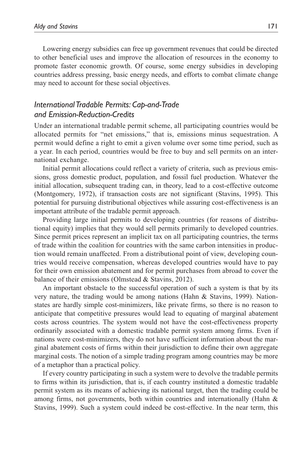Lowering energy subsidies can free up government revenues that could be directed to other beneficial uses and improve the allocation of resources in the economy to promote faster economic growth. Of course, some energy subsidies in developing countries address pressing, basic energy needs, and efforts to combat climate change may need to account for these social objectives.

## *International Tradable Permits: Cap-and-Trade and Emission-Reduction-Credits*

Under an international tradable permit scheme, all participating countries would be allocated permits for "net emissions," that is, emissions minus sequestration. A permit would define a right to emit a given volume over some time period, such as a year. In each period, countries would be free to buy and sell permits on an international exchange.

Initial permit allocations could reflect a variety of criteria, such as previous emissions, gross domestic product, population, and fossil fuel production. Whatever the initial allocation, subsequent trading can, in theory, lead to a cost-effective outcome (Montgomery, 1972), if transaction costs are not significant (Stavins, 1995). This potential for pursuing distributional objectives while assuring cost-effectiveness is an important attribute of the tradable permit approach.

Providing large initial permits to developing countries (for reasons of distributional equity) implies that they would sell permits primarily to developed countries. Since permit prices represent an implicit tax on all participating countries, the terms of trade within the coalition for countries with the same carbon intensities in production would remain unaffected. From a distributional point of view, developing countries would receive compensation, whereas developed countries would have to pay for their own emission abatement and for permit purchases from abroad to cover the balance of their emissions (Olmstead & Stavins, 2012).

An important obstacle to the successful operation of such a system is that by its very nature, the trading would be among nations (Hahn & Stavins, 1999). Nationstates are hardly simple cost-minimizers, like private firms, so there is no reason to anticipate that competitive pressures would lead to equating of marginal abatement costs across countries. The system would not have the cost-effectiveness property ordinarily associated with a domestic tradable permit system among firms. Even if nations were cost-minimizers, they do not have sufficient information about the marginal abatement costs of firms within their jurisdiction to define their own aggregate marginal costs. The notion of a simple trading program among countries may be more of a metaphor than a practical policy.

If every country participating in such a system were to devolve the tradable permits to firms within its jurisdiction, that is, if each country instituted a domestic tradable permit system as its means of achieving its national target, then the trading could be among firms, not governments, both within countries and internationally (Hahn & Stavins, 1999). Such a system could indeed be cost-effective. In the near term, this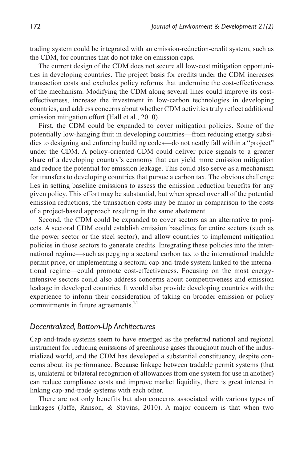trading system could be integrated with an emission-reduction-credit system, such as the CDM, for countries that do not take on emission caps.

The current design of the CDM does not secure all low-cost mitigation opportunities in developing countries. The project basis for credits under the CDM increases transaction costs and excludes policy reforms that undermine the cost-effectiveness of the mechanism. Modifying the CDM along several lines could improve its costeffectiveness, increase the investment in low-carbon technologies in developing countries, and address concerns about whether CDM activities truly reflect additional emission mitigation effort (Hall et al., 2010).

First, the CDM could be expanded to cover mitigation policies. Some of the potentially low-hanging fruit in developing countries—from reducing energy subsidies to designing and enforcing building codes—do not neatly fall within a "project" under the CDM. A policy-oriented CDM could deliver price signals to a greater share of a developing country's economy that can yield more emission mitigation and reduce the potential for emission leakage. This could also serve as a mechanism for transfers to developing countries that pursue a carbon tax. The obvious challenge lies in setting baseline emissions to assess the emission reduction benefits for any given policy. This effort may be substantial, but when spread over all of the potential emission reductions, the transaction costs may be minor in comparison to the costs of a project-based approach resulting in the same abatement.

Second, the CDM could be expanded to cover sectors as an alternative to projects. A sectoral CDM could establish emission baselines for entire sectors (such as the power sector or the steel sector), and allow countries to implement mitigation policies in those sectors to generate credits. Integrating these policies into the international regime—such as pegging a sectoral carbon tax to the international tradable permit price, or implementing a sectoral cap-and-trade system linked to the international regime—could promote cost-effectiveness. Focusing on the most energyintensive sectors could also address concerns about competitiveness and emission leakage in developed countries. It would also provide developing countries with the experience to inform their consideration of taking on broader emission or policy commitments in future agreements.<sup>24</sup>

#### *Decentralized, Bottom-Up Architectures*

Cap-and-trade systems seem to have emerged as the preferred national and regional instrument for reducing emissions of greenhouse gases throughout much of the industrialized world, and the CDM has developed a substantial constituency, despite concerns about its performance. Because linkage between tradable permit systems (that is, unilateral or bilateral recognition of allowances from one system for use in another) can reduce compliance costs and improve market liquidity, there is great interest in linking cap-and-trade systems with each other.

There are not only benefits but also concerns associated with various types of linkages (Jaffe, Ranson, & Stavins, 2010). A major concern is that when two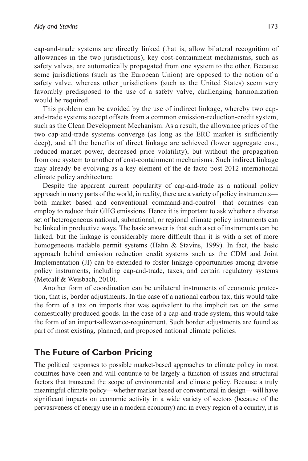cap-and-trade systems are directly linked (that is, allow bilateral recognition of allowances in the two jurisdictions), key cost-containment mechanisms, such as safety valves, are automatically propagated from one system to the other. Because some jurisdictions (such as the European Union) are opposed to the notion of a safety valve, whereas other jurisdictions (such as the United States) seem very favorably predisposed to the use of a safety valve, challenging harmonization would be required.

This problem can be avoided by the use of indirect linkage, whereby two capand-trade systems accept offsets from a common emission-reduction-credit system, such as the Clean Development Mechanism. As a result, the allowance prices of the two cap-and-trade systems converge (as long as the ERC market is sufficiently deep), and all the benefits of direct linkage are achieved (lower aggregate cost, reduced market power, decreased price volatility), but without the propagation from one system to another of cost-containment mechanisms. Such indirect linkage may already be evolving as a key element of the de facto post-2012 international climate policy architecture.

Despite the apparent current popularity of cap-and-trade as a national policy approach in many parts of the world, in reality, there are a variety of policy instruments both market based and conventional command-and-control—that countries can employ to reduce their GHG emissions. Hence it is important to ask whether a diverse set of heterogeneous national, subnational, or regional climate policy instruments can be linked in productive ways. The basic answer is that such a set of instruments can be linked, but the linkage is considerably more difficult than it is with a set of more homogeneous tradable permit systems (Hahn & Stavins, 1999). In fact, the basic approach behind emission reduction credit systems such as the CDM and Joint Implementation (JI) can be extended to foster linkage opportunities among diverse policy instruments, including cap-and-trade, taxes, and certain regulatory systems (Metcalf & Weisbach, 2010).

Another form of coordination can be unilateral instruments of economic protection, that is, border adjustments. In the case of a national carbon tax, this would take the form of a tax on imports that was equivalent to the implicit tax on the same domestically produced goods. In the case of a cap-and-trade system, this would take the form of an import-allowance-requirement. Such border adjustments are found as part of most existing, planned, and proposed national climate policies.

## **The Future of Carbon Pricing**

The political responses to possible market-based approaches to climate policy in most countries have been and will continue to be largely a function of issues and structural factors that transcend the scope of environmental and climate policy. Because a truly meaningful climate policy—whether market based or conventional in design—will have significant impacts on economic activity in a wide variety of sectors (because of the pervasiveness of energy use in a modern economy) and in every region of a country, it is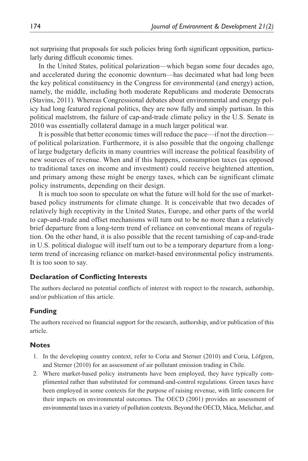not surprising that proposals for such policies bring forth significant opposition, particularly during difficult economic times.

In the United States, political polarization—which began some four decades ago, and accelerated during the economic downturn—has decimated what had long been the key political constituency in the Congress for environmental (and energy) action, namely, the middle, including both moderate Republicans and moderate Democrats (Stavins, 2011). Whereas Congressional debates about environmental and energy policy had long featured regional politics, they are now fully and simply partisan. In this political maelstrom, the failure of cap-and-trade climate policy in the U.S. Senate in 2010 was essentially collateral damage in a much larger political war.

It is possible that better economic times will reduce the pace—if not the direction of political polarization. Furthermore, it is also possible that the ongoing challenge of large budgetary deficits in many countries will increase the political feasibility of new sources of revenue. When and if this happens, consumption taxes (as opposed to traditional taxes on income and investment) could receive heightened attention, and primary among these might be energy taxes, which can be significant climate policy instruments, depending on their design.

It is much too soon to speculate on what the future will hold for the use of marketbased policy instruments for climate change. It is conceivable that two decades of relatively high receptivity in the United States, Europe, and other parts of the world to cap-and-trade and offset mechanisms will turn out to be no more than a relatively brief departure from a long-term trend of reliance on conventional means of regulation. On the other hand, it is also possible that the recent tarnishing of cap-and-trade in U.S. political dialogue will itself turn out to be a temporary departure from a longterm trend of increasing reliance on market-based environmental policy instruments. It is too soon to say.

#### **Declaration of Conflicting Interests**

The authors declared no potential conflicts of interest with respect to the research, authorship, and/or publication of this article.

#### **Funding**

The authors received no financial support for the research, authorship, and/or publication of this article.

#### **Notes**

- 1. In the developing country context, refer to Coria and Sterner (2010) and Coria, Löfgren, and Sterner (2010) for an assessment of air pollutant emission trading in Chile.
- 2. Where market-based policy instruments have been employed, they have typically complimented rather than substituted for command-and-control regulations. Green taxes have been employed in some contexts for the purpose of raising revenue, with little concern for their impacts on environmental outcomes. The OECD (2001) provides an assessment of environmental taxes in a variety of pollution contexts. Beyond the OECD, Máca, Melichar, and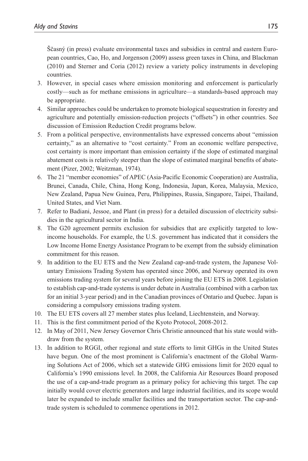Ščasný (in press) evaluate environmental taxes and subsidies in central and eastern European countries, Cao, Ho, and Jorgenson (2009) assess green taxes in China, and Blackman (2010) and Sterner and Coria (2012) review a variety policy instruments in developing countries.

- 3. However, in special cases where emission monitoring and enforcement is particularly costly—such as for methane emissions in agriculture—a standards-based approach may be appropriate.
- 4. Similar approaches could be undertaken to promote biological sequestration in forestry and agriculture and potentially emission-reduction projects ("offsets") in other countries. See discussion of Emission Reduction Credit programs below.
- 5. From a political perspective, environmentalists have expressed concerns about "emission certainty," as an alternative to "cost certainty." From an economic welfare perspective, cost certainty is more important than emission certainty if the slope of estimated marginal abatement costs is relatively steeper than the slope of estimated marginal benefits of abatement (Pizer, 2002; Weitzman, 1974).
- 6. The 21 "member economies" of APEC (Asia-Pacific Economic Cooperation) are Australia, Brunei, Canada, Chile, China, Hong Kong, Indonesia, Japan, Korea, Malaysia, Mexico, New Zealand, Papua New Guinea, Peru, Philippines, Russia, Singapore, Taipei, Thailand, United States, and Viet Nam.
- 7. Refer to Badiani, Jessoe, and Plant (in press) for a detailed discussion of electricity subsidies in the agricultural sector in India.
- 8. The G20 agreement permits exclusion for subsidies that are explicitly targeted to lowincome households. For example, the U.S. government has indicated that it considers the Low Income Home Energy Assistance Program to be exempt from the subsidy elimination commitment for this reason.
- 9. In addition to the EU ETS and the New Zealand cap-and-trade system, the Japanese Voluntary Emissions Trading System has operated since 2006, and Norway operated its own emissions trading system for several years before joining the EU ETS in 2008. Legislation to establish cap-and-trade systems is under debate in Australia (combined with a carbon tax for an initial 3-year period) and in the Canadian provinces of Ontario and Quebec. Japan is considering a compulsory emissions trading system.
- 10. The EU ETS covers all 27 member states plus Iceland, Liechtenstein, and Norway.
- 11. This is the first commitment period of the Kyoto Protocol, 2008-2012.
- 12. In May of 2011, New Jersey Governor Chris Christie announced that his state would withdraw from the system.
- 13. In addition to RGGI, other regional and state efforts to limit GHGs in the United States have begun. One of the most prominent is California's enactment of the Global Warming Solutions Act of 2006, which set a statewide GHG emissions limit for 2020 equal to California's 1990 emissions level. In 2008, the California Air Resources Board proposed the use of a cap-and-trade program as a primary policy for achieving this target. The cap initially would cover electric generators and large industrial facilities, and its scope would later be expanded to include smaller facilities and the transportation sector. The cap-andtrade system is scheduled to commence operations in 2012.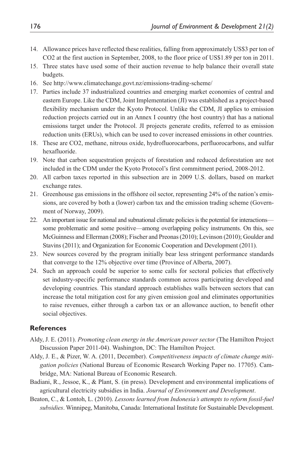- 14. Allowance prices have reflected these realities, falling from approximately US\$3 per ton of CO2 at the first auction in September, 2008, to the floor price of US\$1.89 per ton in 2011.
- 15. Three states have used some of their auction revenue to help balance their overall state budgets.
- 16. See http://www.climatechange.govt.nz/emissions-trading-scheme/
- 17. Parties include 37 industrialized countries and emerging market economies of central and eastern Europe. Like the CDM, Joint Implementation (JI) was established as a project-based flexibility mechanism under the Kyoto Protocol. Unlike the CDM, JI applies to emission reduction projects carried out in an Annex I country (the host country) that has a national emissions target under the Protocol. JI projects generate credits, referred to as emission reduction units (ERUs), which can be used to cover increased emissions in other countries.
- 18. These are CO2, methane, nitrous oxide, hydrofluorocarbons, perfluorocarbons, and sulfur hexafluoride.
- 19. Note that carbon sequestration projects of forestation and reduced deforestation are not included in the CDM under the Kyoto Protocol's first commitment period, 2008-2012.
- 20. All carbon taxes reported in this subsection are in 2009 U.S. dollars, based on market exchange rates.
- 21. Greenhouse gas emissions in the offshore oil sector, representing 24% of the nation's emissions, are covered by both a (lower) carbon tax and the emission trading scheme (Government of Norway, 2009).
- 22. An important issue for national and subnational climate policies is the potential for interactions some problematic and some positive—among overlapping policy instruments. On this, see McGuinness and Ellerman (2008); Fischer and Preonas (2010); Levinson (2010); Goulder and Stavins (2011); and Organization for Economic Cooperation and Development (2011).
- 23. New sources covered by the program initially bear less stringent performance standards that converge to the 12% objective over time (Province of Alberta, 2007).
- 24. Such an approach could be superior to some calls for sectoral policies that effectively set industry-specific performance standards common across participating developed and developing countries. This standard approach establishes walls between sectors that can increase the total mitigation cost for any given emission goal and eliminates opportunities to raise revenues, either through a carbon tax or an allowance auction, to benefit other social objectives.

#### **References**

- Aldy, J. E. (2011). *Promoting clean energy in the American power sector* (The Hamilton Project Discussion Paper 2011-04). Washington, DC: The Hamilton Project.
- Aldy, J. E., & Pizer, W. A. (2011, December). *Competitiveness impacts of climate change mitigation policies* (National Bureau of Economic Research Working Paper no. 17705). Cambridge, MA: National Bureau of Economic Research.
- Badiani, R., Jessoe, K., & Plant, S. (in press). Development and environmental implications of agricultural electricity subsidies in India. *Journal of Environment and Development*.
- Beaton, C., & Lontoh, L. (2010). *Lessons learned from Indonesia's attempts to reform fossil-fuel subsidies*. Winnipeg, Manitoba, Canada: International Institute for Sustainable Development.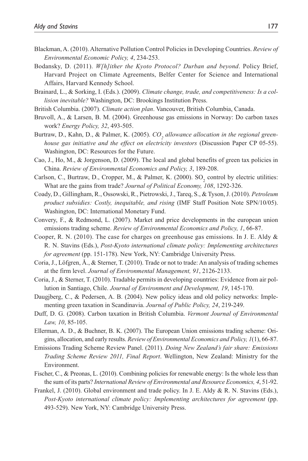- Blackman, A. (2010). Alternative Pollution Control Policies in Developing Countries. *Review of Environmental Economic Policy, 4*, 234-253.
- Bodansky, D. (2011). *W[h]ither the Kyoto Protocol? Durban and beyond*. Policy Brief, Harvard Project on Climate Agreements, Belfer Center for Science and International Affairs, Harvard Kennedy School.
- Brainard, L., & Sorking, I. (Eds.). (2009). *Climate change, trade, and competitiveness: Is a collision inevitable?* Washington, DC: Brookings Institution Press.
- British Columbia. (2007). *Climate action plan*. Vancouver, British Columbia, Canada.
- Bruvoll, A., & Larsen, B. M. (2004). Greenhouse gas emissions in Norway: Do carbon taxes work? *Energy Policy, 32*, 493-505.
- Burtraw, D., Kahn, D., & Palmer, K. (2005). CO<sub>,</sub> allowance allocation in the regional green*house gas initiative and the effect on electricity investors* (Discussion Paper CP 05-55). Washington, DC: Resources for the Future.
- Cao, J., Ho, M., & Jorgenson, D. (2009). The local and global benefits of green tax policies in China. *Review of Environmental Economics and Policy, 3*, 189-208.
- Carlson, C., Burtraw, D., Cropper, M., & Palmer, K. (2000).  $SO_2$  control by electric utilities: What are the gains from trade? *Journal of Political Economy, 108*, 1292-326.
- Coady, D., Gillingham, R., Ossowski, R., Pietrowski, J., Tareq, S., & Tyson, J. (2010). *Petroleum product subsidies: Costly, inequitable, and rising* (IMF Staff Position Note SPN/10/05). Washington, DC: International Monetary Fund.
- Convery, F., & Redmond, L. (2007). Market and price developments in the european union emissions trading scheme. *Review of Environmental Economics and Policy, 1*, 66-87.
- Cooper, R. N. (2010). The case for charges on greenhouse gas emissions. In J. E. Aldy & R. N. Stavins (Eds.), *Post-Kyoto international climate policy: Implementing architectures for agreement* (pp. 151-178). New York, NY: Cambridge University Press.
- Coria, J., Löfgren, Å., & Sterner, T. (2010). Trade or not to trade: An analysis of trading schemes at the firm level. *Journal of Environmental Management, 91*, 2126-2133.
- Coria, J., & Sterner, T. (2010). Tradable permits in developing countries: Evidence from air pollution in Santiago, Chile. *Journal of Environment and Development, 19*, 145-170.
- Daugjberg, C., & Pedersen, A. B. (2004). New policy ideas and old policy networks: Implementing green taxation in Scandinavia. *Journal of Public Policy, 24*, 219-249.
- Duff, D. G. (2008). Carbon taxation in British Columbia. *Vermont Journal of Environmental Law, 10*, 85-105.
- Ellerman, A. D., & Buchner, B. K. (2007). The European Union emissions trading scheme: Origins, allocation, and early results. *Review of Environmental Economics and Policy, 1*(1), 66-87.
- Emissions Trading Scheme Review Panel. (2011). *Doing New Zealand's fair share: Emissions Trading Scheme Review 2011, Final Report*. Wellington, New Zealand: Ministry for the Environment.
- Fischer, C., & Preonas, L. (2010). Combining policies for renewable energy: Is the whole less than the sum of its parts? *International Review of Environmental and Resource Economics, 4*, 51-92.
- Frankel, J. (2010). Global environment and trade policy. In J. E. Aldy & R. N. Stavins (Eds.), *Post-Kyoto international climate policy: Implementing architectures for agreement* (pp. 493-529). New York, NY: Cambridge University Press.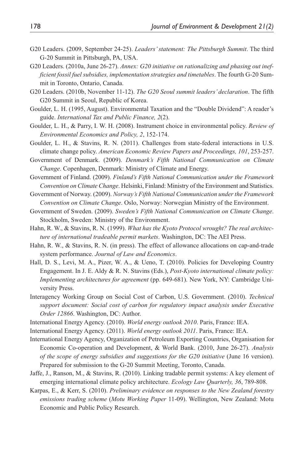- G20 Leaders. (2009, September 24-25). *Leaders' statement: The Pittsburgh Summit*. The third G-20 Summit in Pittsburgh, PA, USA.
- G20 Leaders. (2010a, June 26-27). *Annex: G20 initiative on rationalizing and phasing out inefficient fossil fuel subsidies, implementation strategies and timetables*. The fourth G-20 Summit in Toronto, Ontario, Canada.
- G20 Leaders. (2010b, November 11-12). *The G20 Seoul summit leaders' declaration*. The fifth G20 Summit in Seoul, Republic of Korea.
- Goulder, L. H. (1995, August). Environmental Taxation and the "Double Dividend": A reader's guide. *International Tax and Public Finance, 2*(2).
- Goulder, L. H., & Parry, I. W. H. (2008). Instrument choice in environmental policy. *Review of Environmental Economics and Policy, 2*, 152-174.
- Goulder, L. H., & Stavins, R. N. (2011). Challenges from state-federal interactions in U.S. climate change policy. *American Economic Review Papers and Proceedings, 101*, 253-257.
- Government of Denmark. (2009). *Denmark's Fifth National Communication on Climate Change*. Copenhagen, Denmark: Ministry of Climate and Energy.
- Government of Finland. (2009). *Finland's Fifth National Communication under the Framework Convention on Climate Change*. Helsinki, Finland: Ministry of the Environment and Statistics.
- Government of Norway. (2009). *Norway's Fifth National Communication under the Framework Convention on Climate Change*. Oslo, Norway: Norwegian Ministry of the Environment.
- Government of Sweden. (2009). *Sweden's Fifth National Communication on Climate Change*. Stockholm, Sweden: Ministry of the Environment.
- Hahn, R. W., & Stavins, R. N. (1999). *What has the Kyoto Protocol wrought? The real architecture of international tradeable permit markets*. Washington, DC: The AEI Press.
- Hahn, R. W., & Stavins, R. N. (in press). The effect of allowance allocations on cap-and-trade system performance. *Journal of Law and Economics*.
- Hall, D. S., Levi, M. A., Pizer, W. A., & Ueno, T. (2010). Policies for Developing Country Engagement. In J. E. Aldy & R. N. Stavins (Eds.), *Post-Kyoto international climate policy: Implementing architectures for agreement* (pp. 649-681). New York, NY: Cambridge University Press.
- Interagency Working Group on Social Cost of Carbon, U.S. Government. (2010). *Technical support document: Social cost of carbon for regulatory impact analysis under Executive Order 12866*. Washington, DC: Author.
- International Energy Agency. (2010). *World energy outlook 2010*. Paris, France: IEA.
- International Energy Agency. (2011). *World energy outlook 2011*. Paris, France: IEA.
- International Energy Agency, Organization of Petroleum Exporting Countries, Organisation for Economic Co-operation and Development, & World Bank. (2010, June 26-27). *Analysis of the scope of energy subsidies and suggestions for the G20 initiative* (June 16 version). Prepared for submission to the G-20 Summit Meeting, Toronto, Canada.
- Jaffe, J., Ranson, M., & Stavins, R. (2010). Linking tradable permit systems: A key element of emerging international climate policy architecture. *Ecology Law Quarterly, 36*, 789-808.
- Karpas, E., & Kerr, S. (2010). *Preliminary evidence on responses to the New Zealand forestry emissions trading scheme* (*Motu Working Paper* 11-09). Wellington, New Zealand: Motu Economic and Public Policy Research.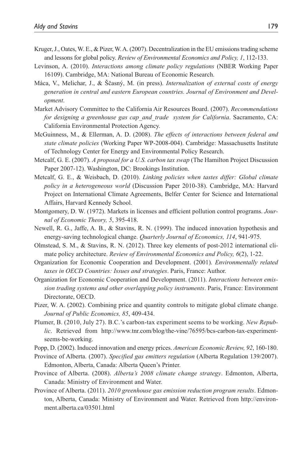- Kruger, J., Oates, W. E., & Pizer, W. A. (2007). Decentralization in the EU emissions trading scheme and lessons for global policy. *Review of Environmental Economics and Policy, 1*, 112-133.
- Levinson, A. (2010). *Interactions among climate policy regulations* (NBER Working Paper 16109). Cambridge, MA: National Bureau of Economic Research.
- Máca, V., Melichar, J., & Ščasný, M. (in press). *Internalization of external costs of energy generation in central and eastern European countries. Journal of Environment and Development*.
- Market Advisory Committee to the California Air Resources Board. (2007). *Recommendations for designing a greenhouse gas cap\_and\_trade system for California*. Sacramento, CA: California Environmental Protection Agency.
- McGuinness, M., & Ellerman, A. D. (2008). *The effects of interactions between federal and state climate policies* (Working Paper WP-2008-004). Cambridge: Massachusetts Institute of Technology Center for Energy and Environmental Policy Research.
- Metcalf, G. E. (2007). *A proposal for a U.S. carbon tax swap* (The Hamilton Project Discussion Paper 2007-12). Washington, DC: Brookings Institution.
- Metcalf, G. E., & Weisbach, D. (2010). *Linking policies when tastes differ: Global climate policy in a heterogeneous world* (Discussion Paper 2010-38). Cambridge, MA: Harvard Project on International Climate Agreements, Belfer Center for Science and International Affairs, Harvard Kennedy School.
- Montgomery, D. W. (1972). Markets in licenses and efficient pollution control programs. *Journal of Economic Theory, 5*, 395-418.
- Newell, R. G., Jaffe, A. B., & Stavins, R. N. (1999). The induced innovation hypothesis and energy-saving technological change. *Quarterly Journal of Economics, 114*, 941-975.
- Olmstead, S. M., & Stavins, R. N. (2012). Three key elements of post-2012 international climate policy architecture. *Review of Environmental Economics and Policy, 6*(2), 1-22.
- Organization for Economic Cooperation and Development. (2001). *Environmentally related taxes in OECD Countries: Issues and strategies*. Paris, France: Author.
- Organization for Economic Cooperation and Development. (2011). *Interactions between emission trading systems and other overlapping policy instruments*. Paris, France: Environment Directorate, OECD.
- Pizer, W. A. (2002). Combining price and quantity controls to mitigate global climate change. *Journal of Public Economics, 85*, 409-434.
- Plumer, B. (2010, July 27). B.C.'s carbon-tax experiment seems to be working. *New Republic*. Retrieved from http://www.tnr.com/blog/the-vine/76595/bcs-carbon-tax-experimentseems-be-working.
- Popp, D. (2002). Induced innovation and energy prices. *American Economic Review, 92*, 160-180.
- Province of Alberta. (2007). *Specified gas emitters regulation* (Alberta Regulation 139/2007). Edmonton, Alberta, Canada: Alberta Queen's Printer.
- Province of Alberta. (2008). *Alberta's 2008 climate change strategy*. Edmonton, Alberta, Canada: Ministry of Environment and Water.
- Province of Alberta. (2011). *2010 greenhouse gas emission reduction program results*. Edmonton, Alberta, Canada: Ministry of Environment and Water. Retrieved from http://environment.alberta.ca/03501.html